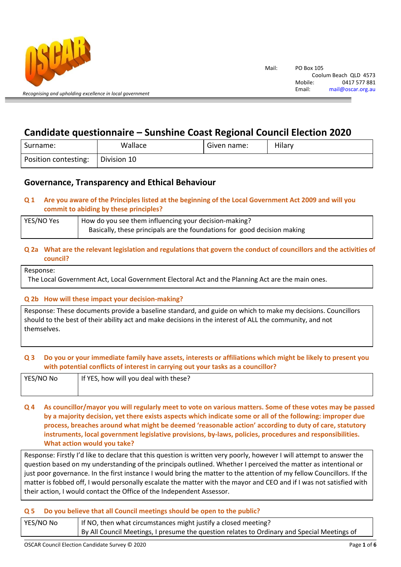

# Candidate questionnaire – Sunshine Coast Regional Council Election 2020

| Surname:             | Wallace     | Given name: | Hilarv |
|----------------------|-------------|-------------|--------|
| Position contesting: | Division 10 |             |        |

## Governance, Transparency and Ethical Behaviour

## Q 1 Are you aware of the Principles listed at the beginning of the Local Government Act 2009 and will you commit to abiding by these principles?

| YES/NO Yes | How do you see them influencing your decision-making?                    |
|------------|--------------------------------------------------------------------------|
|            | Basically, these principals are the foundations for good decision making |

#### Q 2a What are the relevant legislation and regulations that govern the conduct of councillors and the activities of council?

```
Response:
```
The Local Government Act, Local Government Electoral Act and the Planning Act are the main ones.

## Q 2b How will these impact your decision-making?

Response: These documents provide a baseline standard, and guide on which to make my decisions. Councillors should to the best of their ability act and make decisions in the interest of ALL the community, and not themselves.

## Q 3 Do you or your immediate family have assets, interests or affiliations which might be likely to present you with potential conflicts of interest in carrying out your tasks as a councillor?

| YES/NO No | If YES, how will you deal with these? |
|-----------|---------------------------------------|
|           |                                       |

Q 4 As councillor/mayor you will regularly meet to vote on various matters. Some of these votes may be passed by a majority decision, yet there exists aspects which indicate some or all of the following: improper due process, breaches around what might be deemed 'reasonable action' according to duty of care, statutory instruments, local government legislative provisions, by-laws, policies, procedures and responsibilities. What action would you take?

Response: Firstly I'd like to declare that this question is written very poorly, however I will attempt to answer the question based on my understanding of the principals outlined. Whether I perceived the matter as intentional or just poor governance. In the first instance I would bring the matter to the attention of my fellow Councillors. If the matter is fobbed off, I would personally escalate the matter with the mayor and CEO and if I was not satisfied with their action, I would contact the Office of the Independent Assessor.

## Q 5 Do you believe that all Council meetings should be open to the public?

| YES/NO No | If NO, then what circumstances might justify a closed meeting?                              |  |
|-----------|---------------------------------------------------------------------------------------------|--|
|           | By All Council Meetings, I presume the question relates to Ordinary and Special Meetings of |  |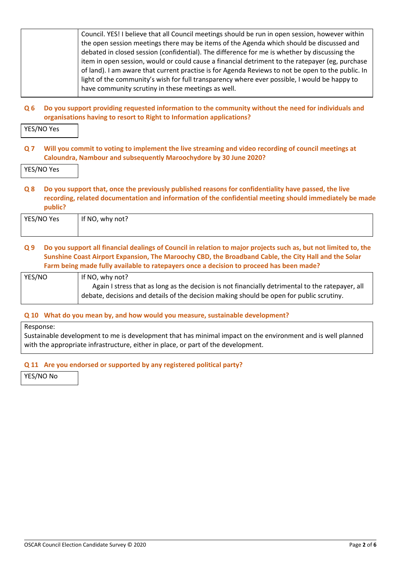| Council. YES! I believe that all Council meetings should be run in open session, however within   |
|---------------------------------------------------------------------------------------------------|
| the open session meetings there may be items of the Agenda which should be discussed and          |
| debated in closed session (confidential). The difference for me is whether by discussing the      |
| item in open session, would or could cause a financial detriment to the ratepayer (eg, purchase   |
| of land). I am aware that current practise is for Agenda Reviews to not be open to the public. In |
| light of the community's wish for full transparency where ever possible, I would be happy to      |
| have community scrutiny in these meetings as well.                                                |
|                                                                                                   |

Q 6 Do you support providing requested information to the community without the need for individuals and organisations having to resort to Right to Information applications?

YES/NO Yes

Q 7 Will you commit to voting to implement the live streaming and video recording of council meetings at Caloundra, Nambour and subsequently Maroochydore by 30 June 2020?

YES/NO Yes

Q 8 Do you support that, once the previously published reasons for confidentiality have passed, the live recording, related documentation and information of the confidential meeting should immediately be made public?

| YES/NO Yes | If NO, why not? |
|------------|-----------------|
|            |                 |

#### Q 9 Do you support all financial dealings of Council in relation to major projects such as, but not limited to, the Sunshine Coast Airport Expansion, The Maroochy CBD, the Broadband Cable, the City Hall and the Solar Farm being made fully available to ratepayers once a decision to proceed has been made?

| YES/NO | If NO, why not?                                                                                  |
|--------|--------------------------------------------------------------------------------------------------|
|        | Again I stress that as long as the decision is not financially detrimental to the ratepayer, all |
|        | debate, decisions and details of the decision making should be open for public scrutiny.         |

#### Q 10 What do you mean by, and how would you measure, sustainable development?

Response:

Sustainable development to me is development that has minimal impact on the environment and is well planned with the appropriate infrastructure, either in place, or part of the development.

## Q 11 Are you endorsed or supported by any registered political party?

YES/NO No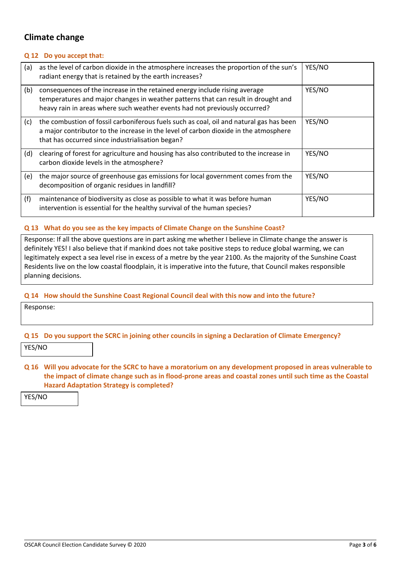## Climate change

#### Q 12 Do you accept that:

| (a) | as the level of carbon dioxide in the atmosphere increases the proportion of the sun's<br>radiant energy that is retained by the earth increases?                                                                                             | YES/NO |
|-----|-----------------------------------------------------------------------------------------------------------------------------------------------------------------------------------------------------------------------------------------------|--------|
| (b) | consequences of the increase in the retained energy include rising average<br>temperatures and major changes in weather patterns that can result in drought and<br>heavy rain in areas where such weather events had not previously occurred? | YES/NO |
| (c) | the combustion of fossil carboniferous fuels such as coal, oil and natural gas has been<br>a major contributor to the increase in the level of carbon dioxide in the atmosphere<br>that has occurred since industrialisation began?           | YES/NO |
| (d) | clearing of forest for agriculture and housing has also contributed to the increase in<br>carbon dioxide levels in the atmosphere?                                                                                                            | YES/NO |
| (e) | the major source of greenhouse gas emissions for local government comes from the<br>decomposition of organic residues in landfill?                                                                                                            | YES/NO |
| (f) | maintenance of biodiversity as close as possible to what it was before human<br>intervention is essential for the healthy survival of the human species?                                                                                      | YES/NO |

#### Q 13 What do you see as the key impacts of Climate Change on the Sunshine Coast?

Response: If all the above questions are in part asking me whether I believe in Climate change the answer is definitely YES! I also believe that if mankind does not take positive steps to reduce global warming, we can legitimately expect a sea level rise in excess of a metre by the year 2100. As the majority of the Sunshine Coast Residents live on the low coastal floodplain, it is imperative into the future, that Council makes responsible planning decisions.

#### Q 14 How should the Sunshine Coast Regional Council deal with this now and into the future?

Response:

## Q 15 Do you support the SCRC in joining other councils in signing a Declaration of Climate Emergency?

YES/NO

Q 16 Will you advocate for the SCRC to have a moratorium on any development proposed in areas vulnerable to the impact of climate change such as in flood-prone areas and coastal zones until such time as the Coastal Hazard Adaptation Strategy is completed?

YES/NO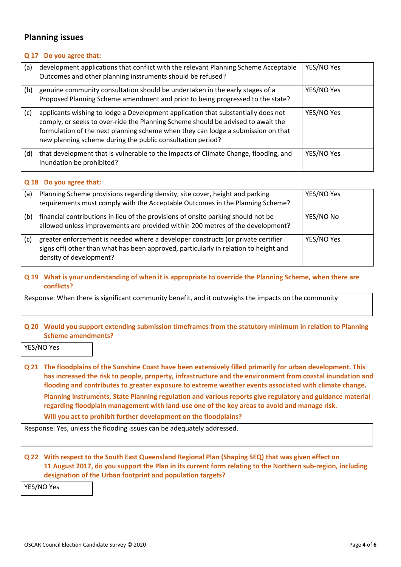## Planning issues

#### Q 17 Do you agree that:

| (a) | development applications that conflict with the relevant Planning Scheme Acceptable<br>Outcomes and other planning instruments should be refused?                                                                                                                                                                       | YES/NO Yes |
|-----|-------------------------------------------------------------------------------------------------------------------------------------------------------------------------------------------------------------------------------------------------------------------------------------------------------------------------|------------|
| (b) | genuine community consultation should be undertaken in the early stages of a<br>Proposed Planning Scheme amendment and prior to being progressed to the state?                                                                                                                                                          | YES/NO Yes |
| (c) | applicants wishing to lodge a Development application that substantially does not<br>comply, or seeks to over-ride the Planning Scheme should be advised to await the<br>formulation of the next planning scheme when they can lodge a submission on that<br>new planning scheme during the public consultation period? | YES/NO Yes |
| (d) | that development that is vulnerable to the impacts of Climate Change, flooding, and<br>inundation be prohibited?                                                                                                                                                                                                        | YES/NO Yes |

#### Q 18 Do you agree that:

| (a) | Planning Scheme provisions regarding density, site cover, height and parking<br>requirements must comply with the Acceptable Outcomes in the Planning Scheme?                                       | YES/NO Yes |
|-----|-----------------------------------------------------------------------------------------------------------------------------------------------------------------------------------------------------|------------|
| (b) | financial contributions in lieu of the provisions of onsite parking should not be<br>allowed unless improvements are provided within 200 metres of the development?                                 | YES/NO No  |
| (c) | greater enforcement is needed where a developer constructs (or private certifier<br>signs off) other than what has been approved, particularly in relation to height and<br>density of development? | YES/NO Yes |

#### Q 19 What is your understanding of when it is appropriate to override the Planning Scheme, when there are conflicts?

Response: When there is significant community benefit, and it outweighs the impacts on the community

#### Q 20 Would you support extending submission timeframes from the statutory minimum in relation to Planning Scheme amendments?

YES/NO Yes

Q 21 The floodplains of the Sunshine Coast have been extensively filled primarily for urban development. This has increased the risk to people, property, infrastructure and the environment from coastal inundation and flooding and contributes to greater exposure to extreme weather events associated with climate change. Planning instruments, State Planning regulation and various reports give regulatory and guidance material regarding floodplain management with land-use one of the key areas to avoid and manage risk. Will you act to prohibit further development on the floodplains?

Response: Yes, unless the flooding issues can be adequately addressed.

#### Q 22 With respect to the South East Queensland Regional Plan (Shaping SEQ) that was given effect on 11 August 2017, do you support the Plan in its current form relating to the Northern sub-region, including designation of the Urban footprint and population targets?

YES/NO Yes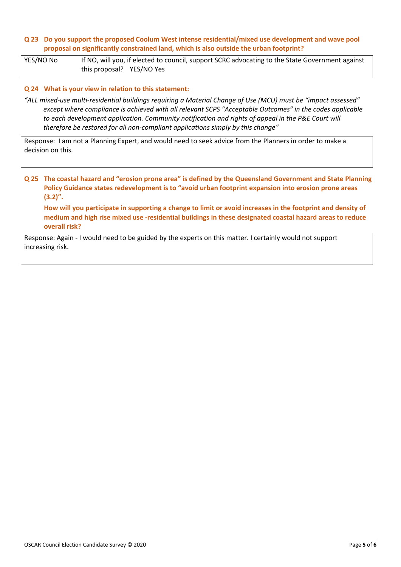#### Q 23 Do you support the proposed Coolum West intense residential/mixed use development and wave pool proposal on significantly constrained land, which is also outside the urban footprint?

YES/NO No **If NO, will you, if elected to council, support SCRC** advocating to the State Government against this proposal? YES/NO Yes

#### Q 24 What is your view in relation to this statement:

"ALL mixed-use multi-residential buildings requiring a Material Change of Use (MCU) must be "impact assessed" except where compliance is achieved with all relevant SCPS "Acceptable Outcomes" in the codes applicable to each development application. Community notification and rights of appeal in the P&E Court will therefore be restored for all non-compliant applications simply by this change"

Response: I am not a Planning Expert, and would need to seek advice from the Planners in order to make a decision on this.

Q 25 The coastal hazard and "erosion prone area" is defined by the Queensland Government and State Planning Policy Guidance states redevelopment is to "avoid urban footprint expansion into erosion prone areas  $(3.2)$ ".

How will you participate in supporting a change to limit or avoid increases in the footprint and density of medium and high rise mixed use -residential buildings in these designated coastal hazard areas to reduce overall risk?

Response: Again - I would need to be guided by the experts on this matter. I certainly would not support increasing risk.